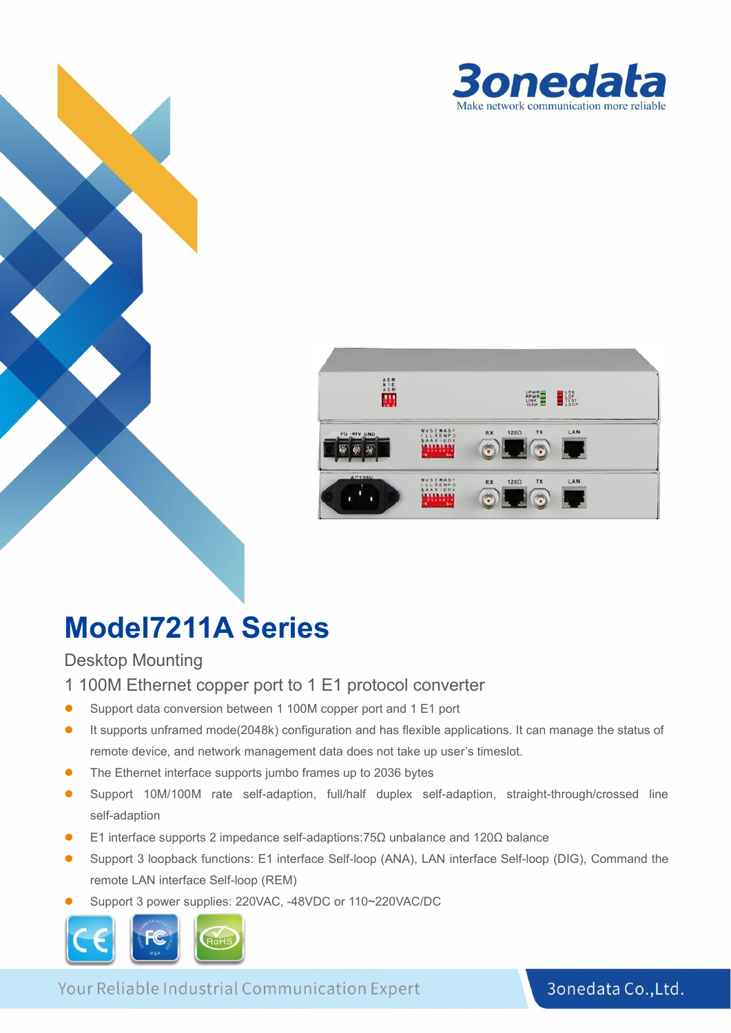



# **Model7211A Series**

Desktop Mounting

- 1 100M Ethernet copper port to 1 E1 protocol converter
- Support data conversion between 1 100M copper port and 1 E1 port
- It supports unframed mode(2048k) configuration and has flexible applications. It can manage the status of remote device, and network management data does not take up user's timeslot.
- The Ethernet interface supports jumbo frames up to 2036 bytes
- Support 10M/100M rate self-adaption, full/half duplex self-adaption, straight-through/crossed line self-adaption
- E1 interface supports 2 impedance self-adaptions:75Ω unbalance and 120Ω balance
- Support 3 loopback functions: E1 interface Self-loop (ANA), LAN interface Self-loop (DIG), Command the remote LAN interface Self-loop (REM)
- Support 3 power supplies: 220VAC, -48VDC or 110~220VAC/DC



Your Reliable Industrial Communication Expert

3onedata Co., Ltd.

**1**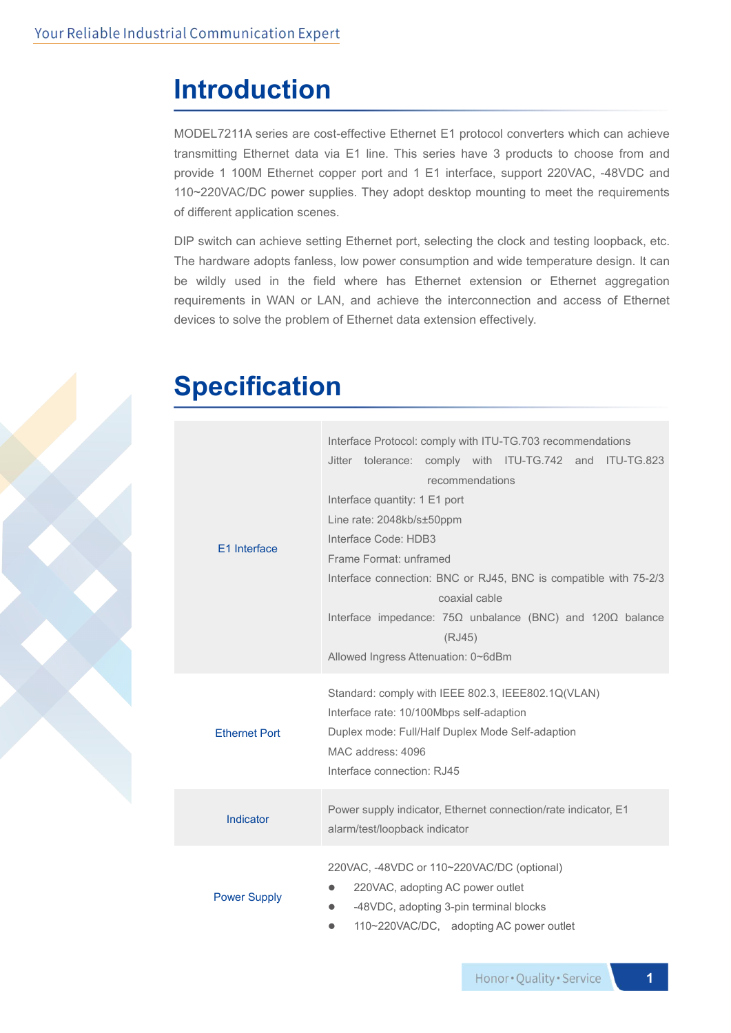### **Introduction**

MODEL7211A series are cost-effective Ethernet E1 protocol converters which can achieve transmitting Ethernet data via E1 line. This series have 3 products to choose from and provide 1 100M Ethernet copper port and 1 E1 interface, support 220VAC, -48VDC and 110~220VAC/DC power supplies. They adopt desktop mounting to meet the requirements of different application scenes.

DIP switch can achieve setting Ethernet port, selecting the clock and testing loopback, etc. The hardware adopts fanless, low power consumption and wide temperature design. It can be wildly used in the field where has Ethernet extension or Ethernet aggregation requirements in WAN or LAN, and achieve the interconnection and access of Ethernet devices to solve the problem of Ethernet data extension effectively.

## **Specification**

| E1 Interface         | Interface Protocol: comply with ITU-TG.703 recommendations<br>Jitter tolerance: comply with ITU-TG.742 and ITU-TG.823<br>recommendations<br>Interface quantity: 1 E1 port<br>Line rate: 2048kb/s±50ppm<br>Interface Code: HDB3<br>Frame Format: unframed<br>Interface connection: BNC or RJ45, BNC is compatible with 75-2/3<br>coaxial cable<br>Interface impedance: $75\Omega$ unbalance (BNC) and $120\Omega$ balance<br>(RJ45)<br>Allowed Ingress Attenuation: 0~6dBm |  |  |  |
|----------------------|---------------------------------------------------------------------------------------------------------------------------------------------------------------------------------------------------------------------------------------------------------------------------------------------------------------------------------------------------------------------------------------------------------------------------------------------------------------------------|--|--|--|
| <b>Ethernet Port</b> | Standard: comply with IEEE 802.3, IEEE802.1Q(VLAN)<br>Interface rate: 10/100Mbps self-adaption<br>Duplex mode: Full/Half Duplex Mode Self-adaption<br>MAC address: 4096<br>Interface connection: RJ45                                                                                                                                                                                                                                                                     |  |  |  |
| Indicator            | Power supply indicator, Ethernet connection/rate indicator, E1<br>alarm/test/loopback indicator                                                                                                                                                                                                                                                                                                                                                                           |  |  |  |
| <b>Power Supply</b>  | 220VAC, -48VDC or 110~220VAC/DC (optional)<br>220VAC, adopting AC power outlet<br>-48VDC, adopting 3-pin terminal blocks<br>110~220VAC/DC, adopting AC power outlet                                                                                                                                                                                                                                                                                                       |  |  |  |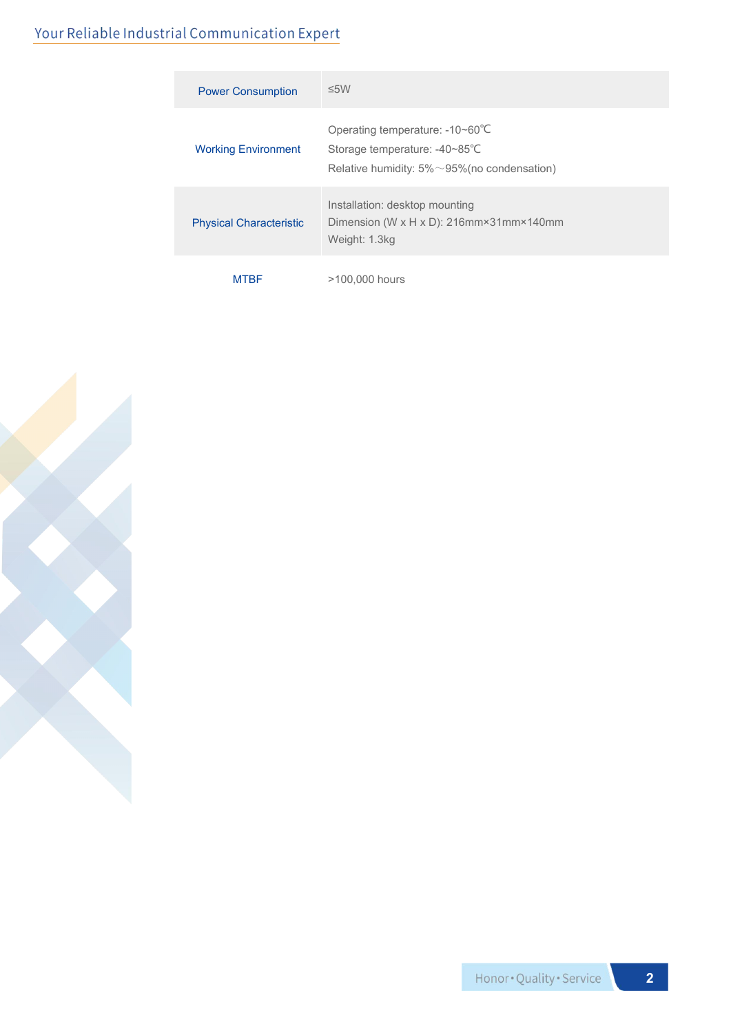#### Your Reliable Industrial Communication Expert

| <b>Power Consumption</b>       | $\leq$ 5W                                                                                                                |
|--------------------------------|--------------------------------------------------------------------------------------------------------------------------|
| <b>Working Environment</b>     | Operating temperature: -10~60°C<br>Storage temperature: -40~85°C<br>Relative humidity: $5\% \sim 95\%$ (no condensation) |
| <b>Physical Characteristic</b> | Installation: desktop mounting<br>Dimension (W x H x D): 216mm×31mm×140mm<br>Weight: 1.3kg                               |
| <b>MTBF</b>                    | >100,000 hours                                                                                                           |